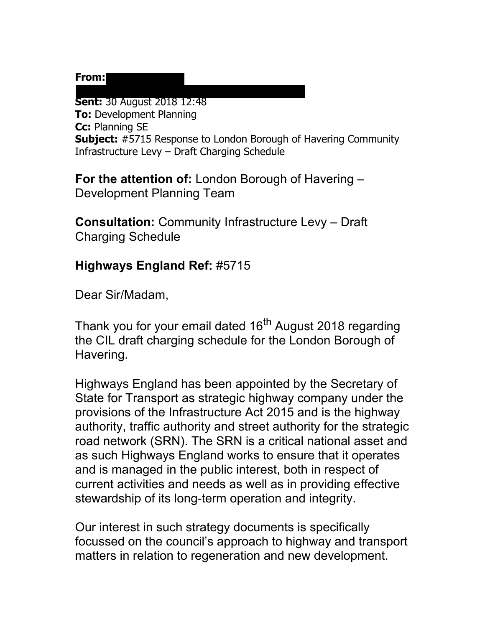## From:

**Sent:** 30 August 2018 12:48 **To:** Development Planning **Cc:** Planning SE **Subject:** #5715 Response to London Borough of Havering Community Infrastructure Levy – Draft Charging Schedule

**For the attention of:** London Borough of Havering – Development Planning Team

[[mailto:Andree.Gregory@highwaysengland.co.uk\]](mailto:Andree.Gregory@highwaysengland.co.uk)

**Consultation:** Community Infrastructure Levy – Draft Charging Schedule

## **Highways England Ref:** #5715

Dear Sir/Madam,

Thank you for your email dated 16<sup>th</sup> August 2018 regarding the CIL draft charging schedule for the London Borough of Havering.

Highways England has been appointed by the Secretary of State for Transport as strategic highway company under the provisions of the Infrastructure Act 2015 and is the highway authority, traffic authority and street authority for the strategic road network (SRN). The SRN is a critical national asset and as such Highways England works to ensure that it operates and is managed in the public interest, both in respect of current activities and needs as well as in providing effective stewardship of its long-term operation and integrity.

Our interest in such strategy documents is specifically focussed on the council's approach to highway and transport matters in relation to regeneration and new development.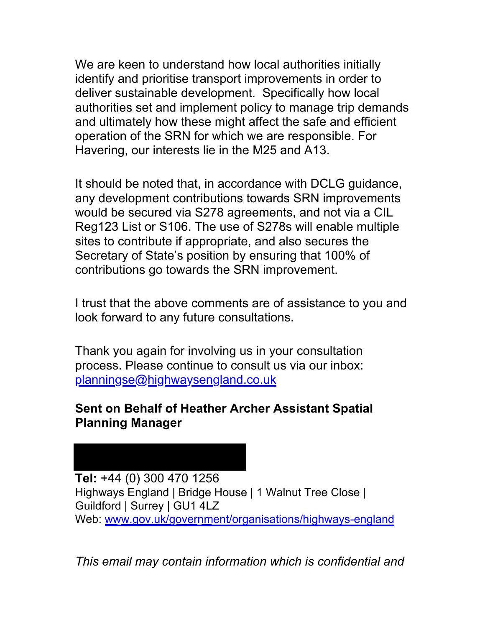We are keen to understand how local authorities initially identify and prioritise transport improvements in order to deliver sustainable development. Specifically how local authorities set and implement policy to manage trip demands and ultimately how these might affect the safe and efficient operation of the SRN for which we are responsible. For Havering, our interests lie in the M25 and A13.

It should be noted that, in accordance with DCLG guidance, any development contributions towards SRN improvements would be secured via S278 agreements, and not via a CIL Reg123 List or S106. The use of S278s will enable multiple sites to contribute if appropriate, and also secures the Secretary of State's position by ensuring that 100% of contributions go towards the SRN improvement.

I trust that the above comments are of assistance to you and look forward to any future consultations.

Thank you again for involving us in your consultation process. Please continue to consult us via our inbox: [planningse@highwaysengland.co.uk](mailto:planningse@highwaysengland.co.uk) 

## **Sent on Behalf of Heather Archer Assistant Spatial Planning Manager**

**Tel:** +44 (0) 300 470 1256 Highways England | Bridge House | 1 Walnut Tree Close | Guildford | Surrey | GU1 4LZ Web: [www.gov.uk/government/organisations/highways-england](https://www.gov.uk/government/organisations/highways-england)

*This email may contain information which is confidential and*